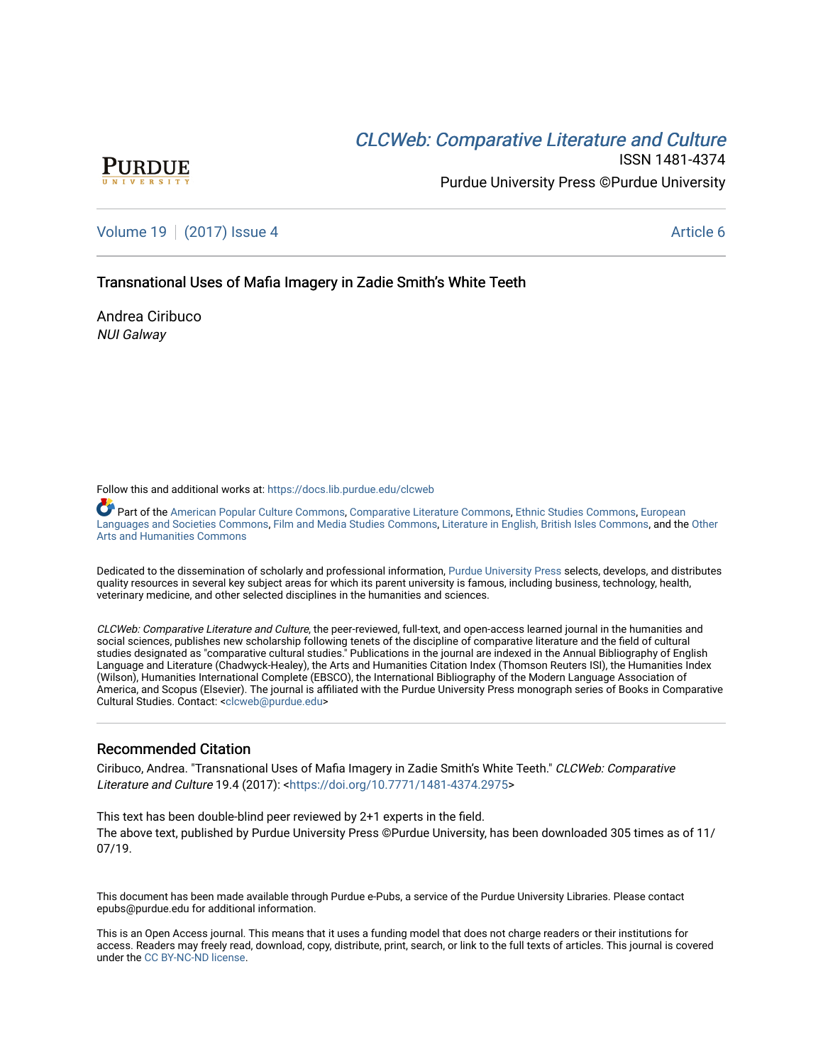# CLCW[eb: Comparative Liter](https://docs.lib.purdue.edu/clcweb)ature and Culture



ISSN 1481-4374 Purdue University Press ©Purdue University

[Volume 19](https://docs.lib.purdue.edu/clcweb/vol19) | [\(2017\) Issue 4](https://docs.lib.purdue.edu/clcweb/vol19/iss4) Article 6

Transnational Uses of Mafia Imagery in Zadie Smith's White Teeth

Andrea Ciribuco NUI Galway

Follow this and additional works at: [https://docs.lib.purdue.edu/clcweb](https://docs.lib.purdue.edu/clcweb?utm_source=docs.lib.purdue.edu%2Fclcweb%2Fvol19%2Fiss4%2F6&utm_medium=PDF&utm_campaign=PDFCoverPages)

Part of the [American Popular Culture Commons,](http://network.bepress.com/hgg/discipline/443?utm_source=docs.lib.purdue.edu%2Fclcweb%2Fvol19%2Fiss4%2F6&utm_medium=PDF&utm_campaign=PDFCoverPages) [Comparative Literature Commons](http://network.bepress.com/hgg/discipline/454?utm_source=docs.lib.purdue.edu%2Fclcweb%2Fvol19%2Fiss4%2F6&utm_medium=PDF&utm_campaign=PDFCoverPages), [Ethnic Studies Commons](http://network.bepress.com/hgg/discipline/570?utm_source=docs.lib.purdue.edu%2Fclcweb%2Fvol19%2Fiss4%2F6&utm_medium=PDF&utm_campaign=PDFCoverPages), [European](http://network.bepress.com/hgg/discipline/482?utm_source=docs.lib.purdue.edu%2Fclcweb%2Fvol19%2Fiss4%2F6&utm_medium=PDF&utm_campaign=PDFCoverPages) [Languages and Societies Commons,](http://network.bepress.com/hgg/discipline/482?utm_source=docs.lib.purdue.edu%2Fclcweb%2Fvol19%2Fiss4%2F6&utm_medium=PDF&utm_campaign=PDFCoverPages) [Film and Media Studies Commons](http://network.bepress.com/hgg/discipline/563?utm_source=docs.lib.purdue.edu%2Fclcweb%2Fvol19%2Fiss4%2F6&utm_medium=PDF&utm_campaign=PDFCoverPages), [Literature in English, British Isles Commons,](http://network.bepress.com/hgg/discipline/456?utm_source=docs.lib.purdue.edu%2Fclcweb%2Fvol19%2Fiss4%2F6&utm_medium=PDF&utm_campaign=PDFCoverPages) and the [Other](http://network.bepress.com/hgg/discipline/577?utm_source=docs.lib.purdue.edu%2Fclcweb%2Fvol19%2Fiss4%2F6&utm_medium=PDF&utm_campaign=PDFCoverPages) [Arts and Humanities Commons](http://network.bepress.com/hgg/discipline/577?utm_source=docs.lib.purdue.edu%2Fclcweb%2Fvol19%2Fiss4%2F6&utm_medium=PDF&utm_campaign=PDFCoverPages) 

Dedicated to the dissemination of scholarly and professional information, [Purdue University Press](http://www.thepress.purdue.edu/) selects, develops, and distributes quality resources in several key subject areas for which its parent university is famous, including business, technology, health, veterinary medicine, and other selected disciplines in the humanities and sciences.

CLCWeb: Comparative Literature and Culture, the peer-reviewed, full-text, and open-access learned journal in the humanities and social sciences, publishes new scholarship following tenets of the discipline of comparative literature and the field of cultural studies designated as "comparative cultural studies." Publications in the journal are indexed in the Annual Bibliography of English Language and Literature (Chadwyck-Healey), the Arts and Humanities Citation Index (Thomson Reuters ISI), the Humanities Index (Wilson), Humanities International Complete (EBSCO), the International Bibliography of the Modern Language Association of America, and Scopus (Elsevier). The journal is affiliated with the Purdue University Press monograph series of Books in Comparative Cultural Studies. Contact: [<clcweb@purdue.edu](mailto:clcweb@purdue.edu)>

#### Recommended Citation

Ciribuco, Andrea. "Transnational Uses of Mafia Imagery in Zadie Smith's White Teeth." CLCWeb: Comparative Literature and Culture 19.4 (2017): <<https://doi.org/10.7771/1481-4374.2975>>

This text has been double-blind peer reviewed by 2+1 experts in the field. The above text, published by Purdue University Press ©Purdue University, has been downloaded 305 times as of 11/ 07/19.

This document has been made available through Purdue e-Pubs, a service of the Purdue University Libraries. Please contact epubs@purdue.edu for additional information.

This is an Open Access journal. This means that it uses a funding model that does not charge readers or their institutions for access. Readers may freely read, download, copy, distribute, print, search, or link to the full texts of articles. This journal is covered under the [CC BY-NC-ND license.](https://creativecommons.org/licenses/by-nc-nd/4.0/)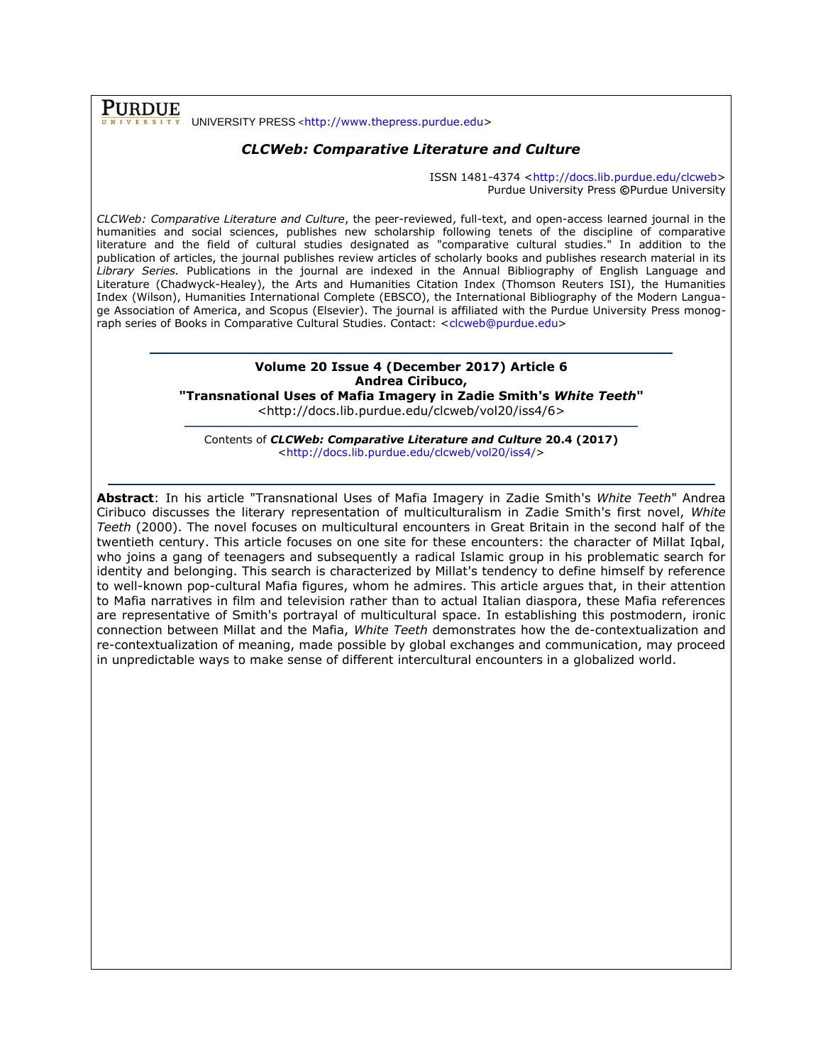**PURDUE** UNIVERSITY PRESS <[http://www.thepress.purdue.edu>](http://www.thepress.purdue.edu/)

# *CLCWeb: Comparative Literature and Culture*

ISSN 1481-4374 [<http://docs.lib.purdue.edu/clcweb>](http://docs.lib.purdue.edu/clcweb) Purdue University Press **©**Purdue University

*CLCWeb: Comparative Literature and Culture*, the peer-reviewed, full-text, and open-access learned journal in the humanities and social sciences, publishes new scholarship following tenets of the discipline of comparative literature and the field of cultural studies designated as "comparative cultural studies." In addition to the publication of articles, the journal publishes review articles of scholarly books and publishes research material in its *Library Series.* Publications in the journal are indexed in the Annual Bibliography of English Language and Literature (Chadwyck-Healey), the Arts and Humanities Citation Index (Thomson Reuters ISI), the Humanities Index (Wilson), Humanities International Complete (EBSCO), the International Bibliography of the Modern Language Association of America, and Scopus (Elsevier). The journal is affiliated with the Purdue University Press monog-raph series of Books in Comparative Cultural Studies. Contact: [<clcweb@purdue.edu>](mailto:clcweb@purdue.edu)

### **Volume 20 Issue 4 (December 2017) Article 6 Andrea Ciribuco,**

**"Transnational Uses of Mafia Imagery in Zadie Smith's** *White Teeth***"** <http://docs.lib.purdue.edu/clcweb/vol20/iss4/6>

Contents of *CLCWeb: Comparative Literature and Culture* **20.4 (2017)** [<http://docs.lib.purdue.edu/clcweb/vol20/iss4/>](http://docs.lib.purdue.edu/clcweb/vol20/iss4/)

**Abstract**: In his article "Transnational Uses of Mafia Imagery in Zadie Smith's *White Teeth*" Andrea Ciribuco discusses the literary representation of multiculturalism in Zadie Smith's first novel, *White Teeth* (2000). The novel focuses on multicultural encounters in Great Britain in the second half of the twentieth century. This article focuses on one site for these encounters: the character of Millat Iqbal, who joins a gang of teenagers and subsequently a radical Islamic group in his problematic search for identity and belonging. This search is characterized by Millat's tendency to define himself by reference to well-known pop-cultural Mafia figures, whom he admires. This article argues that, in their attention to Mafia narratives in film and television rather than to actual Italian diaspora, these Mafia references are representative of Smith's portrayal of multicultural space. In establishing this postmodern, ironic connection between Millat and the Mafia, *White Teeth* demonstrates how the de-contextualization and re-contextualization of meaning, made possible by global exchanges and communication, may proceed in unpredictable ways to make sense of different intercultural encounters in a globalized world.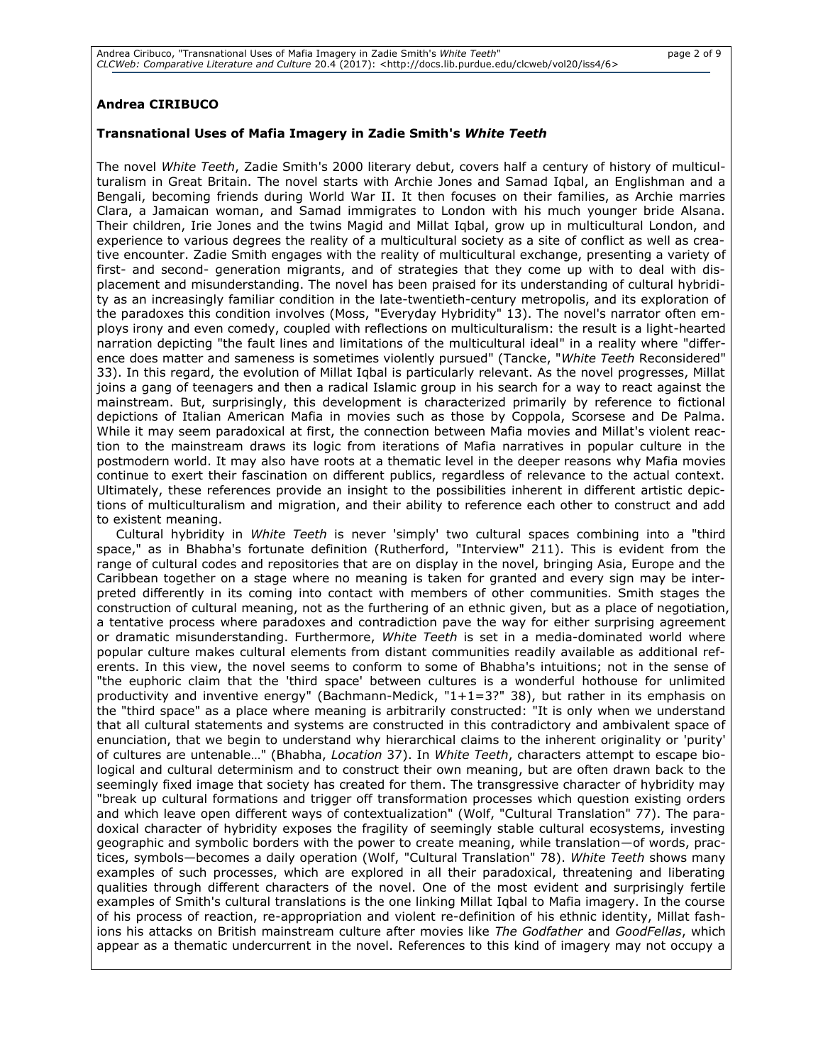## **Andrea CIRIBUCO**

#### **Transnational Uses of Mafia Imagery in Zadie Smith's** *White Teeth*

The novel *White Teeth*, Zadie Smith's 2000 literary debut, covers half a century of history of multiculturalism in Great Britain. The novel starts with Archie Jones and Samad Iqbal, an Englishman and a Bengali, becoming friends during World War II. It then focuses on their families, as Archie marries Clara, a Jamaican woman, and Samad immigrates to London with his much younger bride Alsana. Their children, Irie Jones and the twins Magid and Millat Iqbal, grow up in multicultural London, and experience to various degrees the reality of a multicultural society as a site of conflict as well as creative encounter. Zadie Smith engages with the reality of multicultural exchange, presenting a variety of first- and second- generation migrants, and of strategies that they come up with to deal with displacement and misunderstanding. The novel has been praised for its understanding of cultural hybridity as an increasingly familiar condition in the late-twentieth-century metropolis, and its exploration of the paradoxes this condition involves (Moss, "Everyday Hybridity" 13). The novel's narrator often employs irony and even comedy, coupled with reflections on multiculturalism: the result is a light-hearted narration depicting "the fault lines and limitations of the multicultural ideal" in a reality where "difference does matter and sameness is sometimes violently pursued" (Tancke, "*White Teeth* Reconsidered" 33). In this regard, the evolution of Millat Iqbal is particularly relevant. As the novel progresses, Millat joins a gang of teenagers and then a radical Islamic group in his search for a way to react against the mainstream. But, surprisingly, this development is characterized primarily by reference to fictional depictions of Italian American Mafia in movies such as those by Coppola, Scorsese and De Palma. While it may seem paradoxical at first, the connection between Mafia movies and Millat's violent reaction to the mainstream draws its logic from iterations of Mafia narratives in popular culture in the postmodern world. It may also have roots at a thematic level in the deeper reasons why Mafia movies continue to exert their fascination on different publics, regardless of relevance to the actual context. Ultimately, these references provide an insight to the possibilities inherent in different artistic depictions of multiculturalism and migration, and their ability to reference each other to construct and add to existent meaning.

Cultural hybridity in *White Teeth* is never 'simply' two cultural spaces combining into a "third space," as in Bhabha's fortunate definition (Rutherford, "Interview" 211). This is evident from the range of cultural codes and repositories that are on display in the novel, bringing Asia, Europe and the Caribbean together on a stage where no meaning is taken for granted and every sign may be interpreted differently in its coming into contact with members of other communities. Smith stages the construction of cultural meaning, not as the furthering of an ethnic given, but as a place of negotiation, a tentative process where paradoxes and contradiction pave the way for either surprising agreement or dramatic misunderstanding. Furthermore, *White Teeth* is set in a media-dominated world where popular culture makes cultural elements from distant communities readily available as additional referents. In this view, the novel seems to conform to some of Bhabha's intuitions; not in the sense of "the euphoric claim that the 'third space' between cultures is a wonderful hothouse for unlimited productivity and inventive energy" (Bachmann-Medick, "1+1=3?" 38), but rather in its emphasis on the "third space" as a place where meaning is arbitrarily constructed: "It is only when we understand that all cultural statements and systems are constructed in this contradictory and ambivalent space of enunciation, that we begin to understand why hierarchical claims to the inherent originality or 'purity' of cultures are untenable…" (Bhabha, *Location* 37). In *White Teeth*, characters attempt to escape biological and cultural determinism and to construct their own meaning, but are often drawn back to the seemingly fixed image that society has created for them. The transgressive character of hybridity may "break up cultural formations and trigger off transformation processes which question existing orders and which leave open different ways of contextualization" (Wolf, "Cultural Translation" 77). The paradoxical character of hybridity exposes the fragility of seemingly stable cultural ecosystems, investing geographic and symbolic borders with the power to create meaning, while translation—of words, practices, symbols—becomes a daily operation (Wolf, "Cultural Translation" 78). *White Teeth* shows many examples of such processes, which are explored in all their paradoxical, threatening and liberating qualities through different characters of the novel. One of the most evident and surprisingly fertile examples of Smith's cultural translations is the one linking Millat Iqbal to Mafia imagery. In the course of his process of reaction, re-appropriation and violent re-definition of his ethnic identity, Millat fashions his attacks on British mainstream culture after movies like *The Godfather* and *GoodFellas*, which appear as a thematic undercurrent in the novel. References to this kind of imagery may not occupy a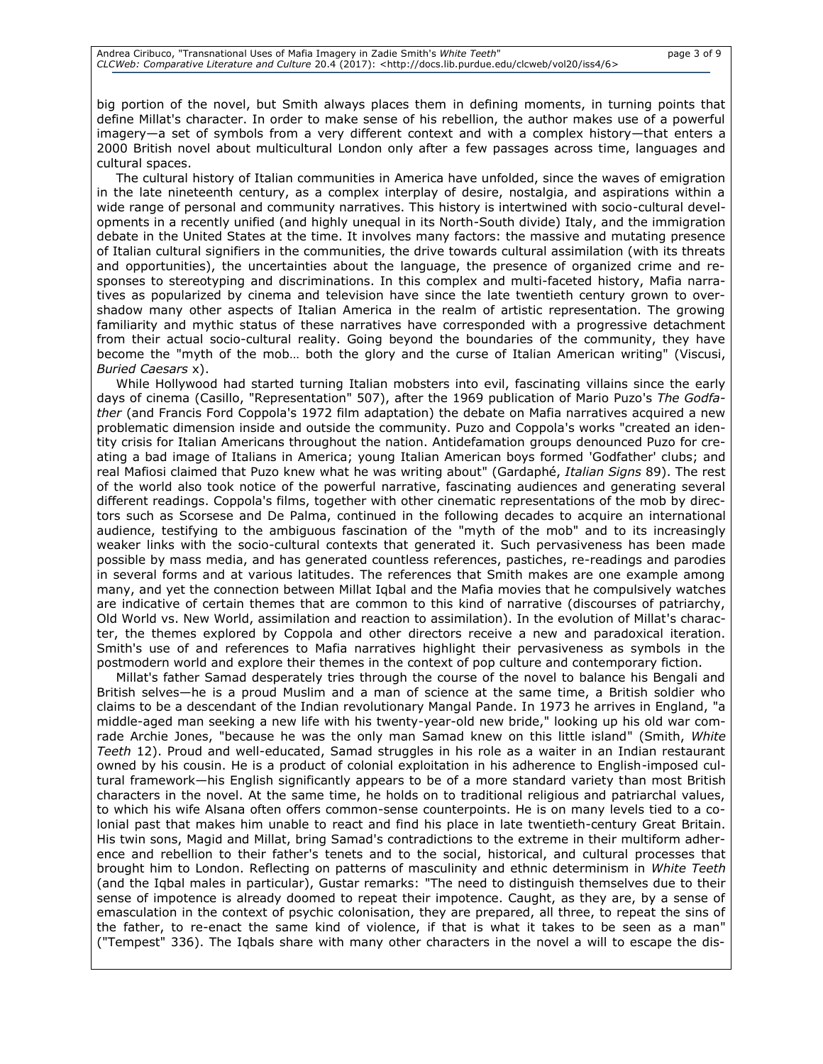big portion of the novel, but Smith always places them in defining moments, in turning points that define Millat's character. In order to make sense of his rebellion, the author makes use of a powerful imagery—a set of symbols from a very different context and with a complex history—that enters a 2000 British novel about multicultural London only after a few passages across time, languages and cultural spaces.

The cultural history of Italian communities in America have unfolded, since the waves of emigration in the late nineteenth century, as a complex interplay of desire, nostalgia, and aspirations within a wide range of personal and community narratives. This history is intertwined with socio-cultural developments in a recently unified (and highly unequal in its North-South divide) Italy, and the immigration debate in the United States at the time. It involves many factors: the massive and mutating presence of Italian cultural signifiers in the communities, the drive towards cultural assimilation (with its threats and opportunities), the uncertainties about the language, the presence of organized crime and responses to stereotyping and discriminations. In this complex and multi-faceted history, Mafia narratives as popularized by cinema and television have since the late twentieth century grown to overshadow many other aspects of Italian America in the realm of artistic representation. The growing familiarity and mythic status of these narratives have corresponded with a progressive detachment from their actual socio-cultural reality. Going beyond the boundaries of the community, they have become the "myth of the mob… both the glory and the curse of Italian American writing" (Viscusi, *Buried Caesars* x).

While Hollywood had started turning Italian mobsters into evil, fascinating villains since the early days of cinema (Casillo, "Representation" 507), after the 1969 publication of Mario Puzo's *The Godfather* (and Francis Ford Coppola's 1972 film adaptation) the debate on Mafia narratives acquired a new problematic dimension inside and outside the community. Puzo and Coppola's works "created an identity crisis for Italian Americans throughout the nation. Antidefamation groups denounced Puzo for creating a bad image of Italians in America; young Italian American boys formed 'Godfather' clubs; and real Mafiosi claimed that Puzo knew what he was writing about" (Gardaphé, *Italian Signs* 89). The rest of the world also took notice of the powerful narrative, fascinating audiences and generating several different readings. Coppola's films, together with other cinematic representations of the mob by directors such as Scorsese and De Palma, continued in the following decades to acquire an international audience, testifying to the ambiguous fascination of the "myth of the mob" and to its increasingly weaker links with the socio-cultural contexts that generated it. Such pervasiveness has been made possible by mass media, and has generated countless references, pastiches, re-readings and parodies in several forms and at various latitudes. The references that Smith makes are one example among many, and yet the connection between Millat Iqbal and the Mafia movies that he compulsively watches are indicative of certain themes that are common to this kind of narrative (discourses of patriarchy, Old World vs. New World, assimilation and reaction to assimilation). In the evolution of Millat's character, the themes explored by Coppola and other directors receive a new and paradoxical iteration. Smith's use of and references to Mafia narratives highlight their pervasiveness as symbols in the postmodern world and explore their themes in the context of pop culture and contemporary fiction.

Millat's father Samad desperately tries through the course of the novel to balance his Bengali and British selves—he is a proud Muslim and a man of science at the same time, a British soldier who claims to be a descendant of the Indian revolutionary Mangal Pande. In 1973 he arrives in England, "a middle-aged man seeking a new life with his twenty-year-old new bride," looking up his old war comrade Archie Jones, "because he was the only man Samad knew on this little island" (Smith, *White Teeth* 12). Proud and well-educated, Samad struggles in his role as a waiter in an Indian restaurant owned by his cousin. He is a product of colonial exploitation in his adherence to English-imposed cultural framework—his English significantly appears to be of a more standard variety than most British characters in the novel. At the same time, he holds on to traditional religious and patriarchal values, to which his wife Alsana often offers common-sense counterpoints. He is on many levels tied to a colonial past that makes him unable to react and find his place in late twentieth-century Great Britain. His twin sons, Magid and Millat, bring Samad's contradictions to the extreme in their multiform adherence and rebellion to their father's tenets and to the social, historical, and cultural processes that brought him to London. Reflecting on patterns of masculinity and ethnic determinism in *White Teeth*  (and the Iqbal males in particular), Gustar remarks: "The need to distinguish themselves due to their sense of impotence is already doomed to repeat their impotence. Caught, as they are, by a sense of emasculation in the context of psychic colonisation, they are prepared, all three, to repeat the sins of the father, to re-enact the same kind of violence, if that is what it takes to be seen as a man" ("Tempest" 336). The Iqbals share with many other characters in the novel a will to escape the dis-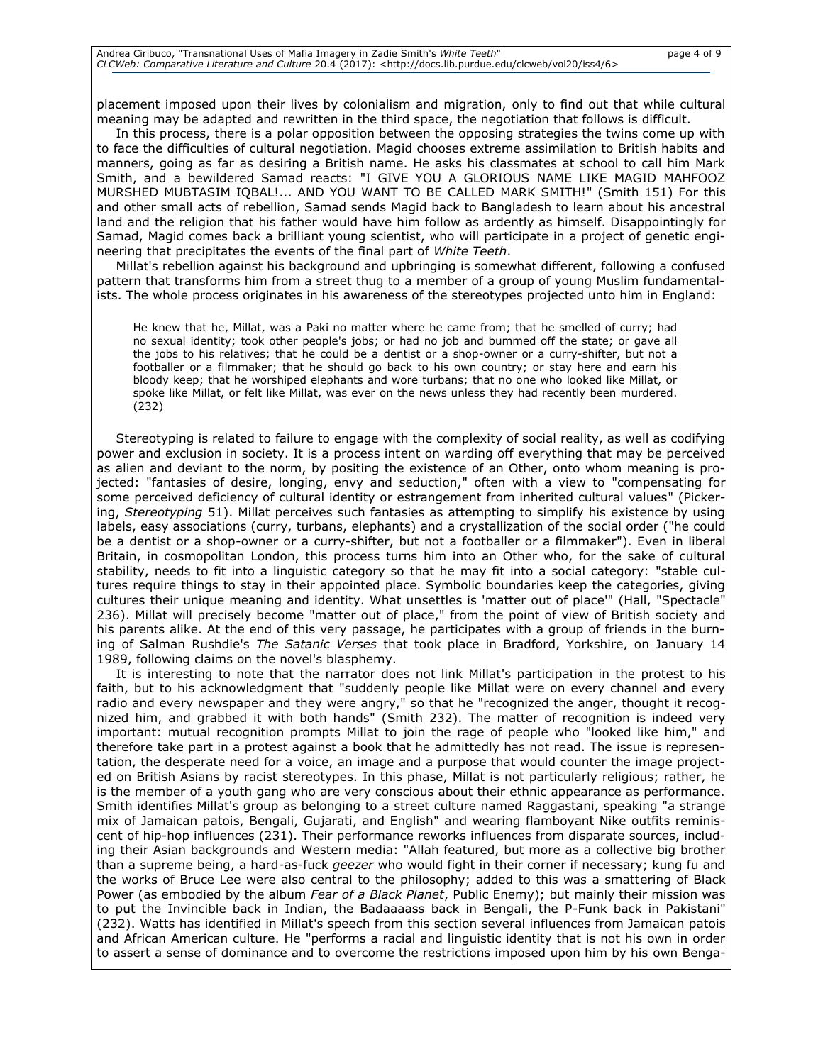| Andrea Ciribuco, "Transnational Uses of Mafia Imagery in Zadie Smith's White Teeth"                                            | page 4 of 9 |
|--------------------------------------------------------------------------------------------------------------------------------|-------------|
| CLCWeb: Comparative Literature and Culture 20.4 (2017): <http: 6="" clcweb="" docs.lib.purdue.edu="" iss4="" vol20=""></http:> |             |

placement imposed upon their lives by colonialism and migration, only to find out that while cultural meaning may be adapted and rewritten in the third space, the negotiation that follows is difficult.

In this process, there is a polar opposition between the opposing strategies the twins come up with to face the difficulties of cultural negotiation. Magid chooses extreme assimilation to British habits and manners, going as far as desiring a British name. He asks his classmates at school to call him Mark Smith, and a bewildered Samad reacts: "I GIVE YOU A GLORIOUS NAME LIKE MAGID MAHFOOZ MURSHED MUBTASIM IQBAL!... AND YOU WANT TO BE CALLED MARK SMITH!" (Smith 151) For this and other small acts of rebellion, Samad sends Magid back to Bangladesh to learn about his ancestral land and the religion that his father would have him follow as ardently as himself. Disappointingly for Samad, Magid comes back a brilliant young scientist, who will participate in a project of genetic engineering that precipitates the events of the final part of *White Teeth*.

Millat's rebellion against his background and upbringing is somewhat different, following a confused pattern that transforms him from a street thug to a member of a group of young Muslim fundamentalists. The whole process originates in his awareness of the stereotypes projected unto him in England:

He knew that he, Millat, was a Paki no matter where he came from; that he smelled of curry; had no sexual identity; took other people's jobs; or had no job and bummed off the state; or gave all the jobs to his relatives; that he could be a dentist or a shop-owner or a curry-shifter, but not a footballer or a filmmaker; that he should go back to his own country; or stay here and earn his bloody keep; that he worshiped elephants and wore turbans; that no one who looked like Millat, or spoke like Millat, or felt like Millat, was ever on the news unless they had recently been murdered. (232)

Stereotyping is related to failure to engage with the complexity of social reality, as well as codifying power and exclusion in society. It is a process intent on warding off everything that may be perceived as alien and deviant to the norm, by positing the existence of an Other, onto whom meaning is projected: "fantasies of desire, longing, envy and seduction," often with a view to "compensating for some perceived deficiency of cultural identity or estrangement from inherited cultural values" (Pickering, *Stereotyping* 51). Millat perceives such fantasies as attempting to simplify his existence by using labels, easy associations (curry, turbans, elephants) and a crystallization of the social order ("he could be a dentist or a shop-owner or a curry-shifter, but not a footballer or a filmmaker"). Even in liberal Britain, in cosmopolitan London, this process turns him into an Other who, for the sake of cultural stability, needs to fit into a linguistic category so that he may fit into a social category: "stable cultures require things to stay in their appointed place. Symbolic boundaries keep the categories, giving cultures their unique meaning and identity. What unsettles is 'matter out of place'" (Hall, "Spectacle" 236). Millat will precisely become "matter out of place," from the point of view of British society and his parents alike. At the end of this very passage, he participates with a group of friends in the burning of Salman Rushdie's *The Satanic Verses* that took place in Bradford, Yorkshire, on January 14 1989, following claims on the novel's blasphemy.

It is interesting to note that the narrator does not link Millat's participation in the protest to his faith, but to his acknowledgment that "suddenly people like Millat were on every channel and every radio and every newspaper and they were angry," so that he "recognized the anger, thought it recognized him, and grabbed it with both hands" (Smith 232). The matter of recognition is indeed very important: mutual recognition prompts Millat to join the rage of people who "looked like him," and therefore take part in a protest against a book that he admittedly has not read. The issue is representation, the desperate need for a voice, an image and a purpose that would counter the image projected on British Asians by racist stereotypes. In this phase, Millat is not particularly religious; rather, he is the member of a youth gang who are very conscious about their ethnic appearance as performance. Smith identifies Millat's group as belonging to a street culture named Raggastani, speaking "a strange mix of Jamaican patois, Bengali, Gujarati, and English" and wearing flamboyant Nike outfits reminiscent of hip-hop influences (231). Their performance reworks influences from disparate sources, including their Asian backgrounds and Western media: "Allah featured, but more as a collective big brother than a supreme being, a hard-as-fuck *geezer* who would fight in their corner if necessary; kung fu and the works of Bruce Lee were also central to the philosophy; added to this was a smattering of Black Power (as embodied by the album *Fear of a Black Planet*, Public Enemy); but mainly their mission was to put the Invincible back in Indian, the Badaaaass back in Bengali, the P-Funk back in Pakistani" (232). Watts has identified in Millat's speech from this section several influences from Jamaican patois and African American culture. He "performs a racial and linguistic identity that is not his own in order to assert a sense of dominance and to overcome the restrictions imposed upon him by his own Benga-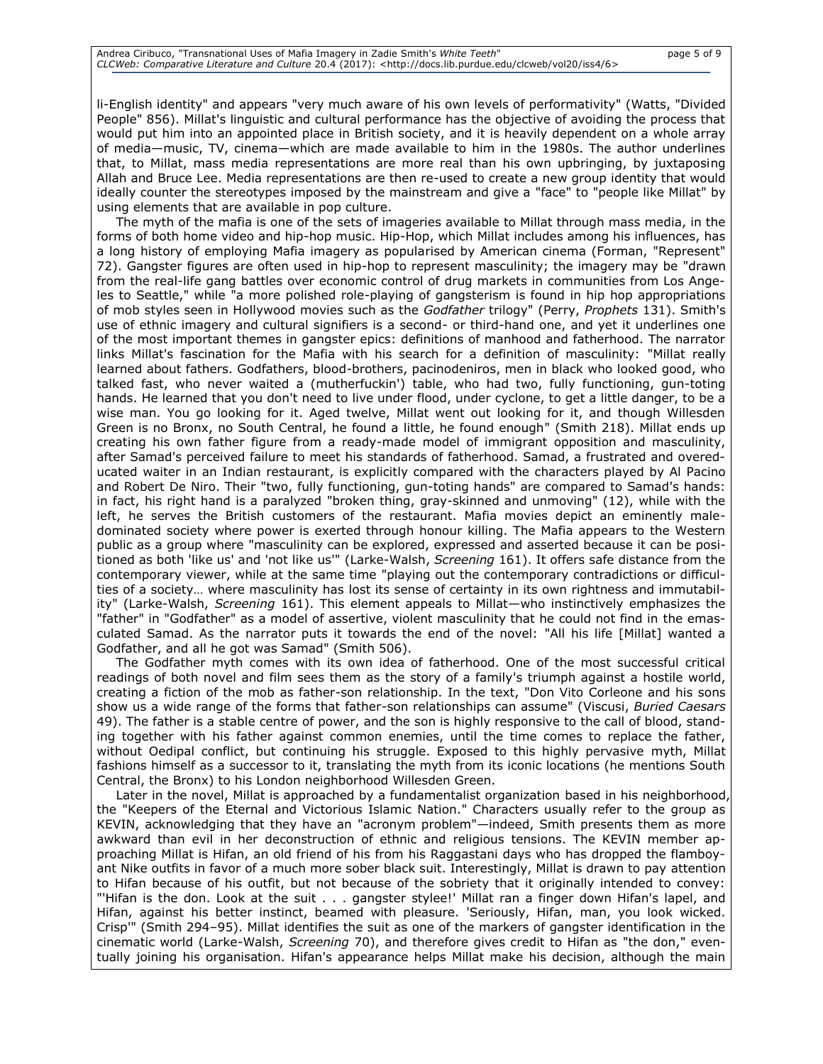li-English identity" and appears "very much aware of his own levels of performativity" (Watts, "Divided People" 856). Millat's linguistic and cultural performance has the objective of avoiding the process that would put him into an appointed place in British society, and it is heavily dependent on a whole array of media—music, TV, cinema—which are made available to him in the 1980s. The author underlines that, to Millat, mass media representations are more real than his own upbringing, by juxtaposing Allah and Bruce Lee. Media representations are then re-used to create a new group identity that would ideally counter the stereotypes imposed by the mainstream and give a "face" to "people like Millat" by using elements that are available in pop culture.

The myth of the mafia is one of the sets of imageries available to Millat through mass media, in the forms of both home video and hip-hop music. Hip-Hop, which Millat includes among his influences, has a long history of employing Mafia imagery as popularised by American cinema (Forman, "Represent" 72). Gangster figures are often used in hip-hop to represent masculinity; the imagery may be "drawn from the real-life gang battles over economic control of drug markets in communities from Los Angeles to Seattle," while "a more polished role-playing of gangsterism is found in hip hop appropriations of mob styles seen in Hollywood movies such as the *Godfather* trilogy" (Perry, *Prophets* 131). Smith's use of ethnic imagery and cultural signifiers is a second- or third-hand one, and yet it underlines one of the most important themes in gangster epics: definitions of manhood and fatherhood. The narrator links Millat's fascination for the Mafia with his search for a definition of masculinity: "Millat really learned about fathers. Godfathers, blood-brothers, pacinodeniros, men in black who looked good, who talked fast, who never waited a (mutherfuckin') table, who had two, fully functioning, gun-toting hands. He learned that you don't need to live under flood, under cyclone, to get a little danger, to be a wise man. You go looking for it. Aged twelve, Millat went out looking for it, and though Willesden Green is no Bronx, no South Central, he found a little, he found enough" (Smith 218). Millat ends up creating his own father figure from a ready-made model of immigrant opposition and masculinity, after Samad's perceived failure to meet his standards of fatherhood. Samad, a frustrated and overeducated waiter in an Indian restaurant, is explicitly compared with the characters played by Al Pacino and Robert De Niro. Their "two, fully functioning, gun-toting hands" are compared to Samad's hands: in fact, his right hand is a paralyzed "broken thing, gray-skinned and unmoving" (12), while with the left, he serves the British customers of the restaurant. Mafia movies depict an eminently maledominated society where power is exerted through honour killing. The Mafia appears to the Western public as a group where "masculinity can be explored, expressed and asserted because it can be positioned as both 'like us' and 'not like us'" (Larke-Walsh, *Screening* 161). It offers safe distance from the contemporary viewer, while at the same time "playing out the contemporary contradictions or difficulties of a society… where masculinity has lost its sense of certainty in its own rightness and immutability" (Larke-Walsh, *Screening* 161). This element appeals to Millat—who instinctively emphasizes the "father" in "Godfather" as a model of assertive, violent masculinity that he could not find in the emasculated Samad. As the narrator puts it towards the end of the novel: "All his life [Millat] wanted a Godfather, and all he got was Samad" (Smith 506).

The Godfather myth comes with its own idea of fatherhood. One of the most successful critical readings of both novel and film sees them as the story of a family's triumph against a hostile world, creating a fiction of the mob as father-son relationship. In the text, "Don Vito Corleone and his sons show us a wide range of the forms that father-son relationships can assume" (Viscusi, *Buried Caesars* 49). The father is a stable centre of power, and the son is highly responsive to the call of blood, standing together with his father against common enemies, until the time comes to replace the father, without Oedipal conflict, but continuing his struggle. Exposed to this highly pervasive myth, Millat fashions himself as a successor to it, translating the myth from its iconic locations (he mentions South Central, the Bronx) to his London neighborhood Willesden Green.

Later in the novel, Millat is approached by a fundamentalist organization based in his neighborhood, the "Keepers of the Eternal and Victorious Islamic Nation." Characters usually refer to the group as KEVIN, acknowledging that they have an "acronym problem"—indeed, Smith presents them as more awkward than evil in her deconstruction of ethnic and religious tensions. The KEVIN member approaching Millat is Hifan, an old friend of his from his Raggastani days who has dropped the flamboyant Nike outfits in favor of a much more sober black suit. Interestingly, Millat is drawn to pay attention to Hifan because of his outfit, but not because of the sobriety that it originally intended to convey: "'Hifan is the don. Look at the suit . . . gangster stylee!' Millat ran a finger down Hifan's lapel, and Hifan, against his better instinct, beamed with pleasure. 'Seriously, Hifan, man, you look wicked. Crisp'" (Smith 294–95). Millat identifies the suit as one of the markers of gangster identification in the cinematic world (Larke-Walsh, *Screening* 70), and therefore gives credit to Hifan as "the don," eventually joining his organisation. Hifan's appearance helps Millat make his decision, although the main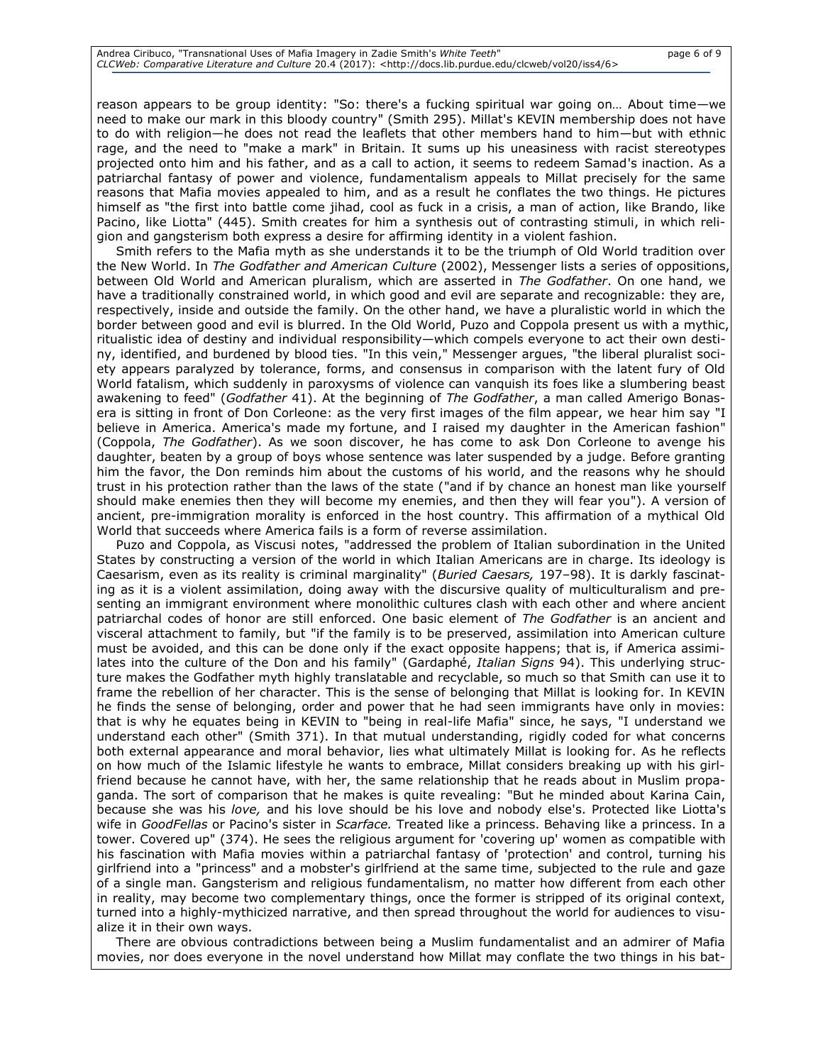reason appears to be group identity: "So: there's a fucking spiritual war going on… About time—we need to make our mark in this bloody country" (Smith 295). Millat's KEVIN membership does not have to do with religion—he does not read the leaflets that other members hand to him—but with ethnic rage, and the need to "make a mark" in Britain. It sums up his uneasiness with racist stereotypes projected onto him and his father, and as a call to action, it seems to redeem Samad's inaction. As a patriarchal fantasy of power and violence, fundamentalism appeals to Millat precisely for the same reasons that Mafia movies appealed to him, and as a result he conflates the two things. He pictures himself as "the first into battle come jihad, cool as fuck in a crisis, a man of action, like Brando, like Pacino, like Liotta" (445). Smith creates for him a synthesis out of contrasting stimuli, in which religion and gangsterism both express a desire for affirming identity in a violent fashion.

Smith refers to the Mafia myth as she understands it to be the triumph of Old World tradition over the New World. In *The Godfather and American Culture* (2002), Messenger lists a series of oppositions, between Old World and American pluralism, which are asserted in *The Godfather*. On one hand, we have a traditionally constrained world, in which good and evil are separate and recognizable: they are, respectively, inside and outside the family. On the other hand, we have a pluralistic world in which the border between good and evil is blurred. In the Old World, Puzo and Coppola present us with a mythic, ritualistic idea of destiny and individual responsibility—which compels everyone to act their own destiny, identified, and burdened by blood ties. "In this vein," Messenger argues, "the liberal pluralist society appears paralyzed by tolerance, forms, and consensus in comparison with the latent fury of Old World fatalism, which suddenly in paroxysms of violence can vanquish its foes like a slumbering beast awakening to feed" (*Godfather* 41). At the beginning of *The Godfather*, a man called Amerigo Bonasera is sitting in front of Don Corleone: as the very first images of the film appear, we hear him say "I believe in America. America's made my fortune, and I raised my daughter in the American fashion" (Coppola, *The Godfather*). As we soon discover, he has come to ask Don Corleone to avenge his daughter, beaten by a group of boys whose sentence was later suspended by a judge. Before granting him the favor, the Don reminds him about the customs of his world, and the reasons why he should trust in his protection rather than the laws of the state ("and if by chance an honest man like yourself should make enemies then they will become my enemies, and then they will fear you"). A version of ancient, pre-immigration morality is enforced in the host country. This affirmation of a mythical Old World that succeeds where America fails is a form of reverse assimilation.

Puzo and Coppola, as Viscusi notes, "addressed the problem of Italian subordination in the United States by constructing a version of the world in which Italian Americans are in charge. Its ideology is Caesarism, even as its reality is criminal marginality" (*Buried Caesars,* 197–98). It is darkly fascinating as it is a violent assimilation, doing away with the discursive quality of multiculturalism and presenting an immigrant environment where monolithic cultures clash with each other and where ancient patriarchal codes of honor are still enforced. One basic element of *The Godfather* is an ancient and visceral attachment to family, but "if the family is to be preserved, assimilation into American culture must be avoided, and this can be done only if the exact opposite happens; that is, if America assimilates into the culture of the Don and his family" (Gardaphé, *Italian Signs* 94). This underlying structure makes the Godfather myth highly translatable and recyclable, so much so that Smith can use it to frame the rebellion of her character. This is the sense of belonging that Millat is looking for. In KEVIN he finds the sense of belonging, order and power that he had seen immigrants have only in movies: that is why he equates being in KEVIN to "being in real-life Mafia" since, he says, "I understand we understand each other" (Smith 371). In that mutual understanding, rigidly coded for what concerns both external appearance and moral behavior, lies what ultimately Millat is looking for. As he reflects on how much of the Islamic lifestyle he wants to embrace, Millat considers breaking up with his girlfriend because he cannot have, with her, the same relationship that he reads about in Muslim propaganda. The sort of comparison that he makes is quite revealing: "But he minded about Karina Cain, because she was his *love,* and his love should be his love and nobody else's. Protected like Liotta's wife in *GoodFellas* or Pacino's sister in *Scarface.* Treated like a princess. Behaving like a princess. In a tower. Covered up" (374). He sees the religious argument for 'covering up' women as compatible with his fascination with Mafia movies within a patriarchal fantasy of 'protection' and control, turning his girlfriend into a "princess" and a mobster's girlfriend at the same time, subjected to the rule and gaze of a single man. Gangsterism and religious fundamentalism, no matter how different from each other in reality, may become two complementary things, once the former is stripped of its original context, turned into a highly-mythicized narrative, and then spread throughout the world for audiences to visualize it in their own ways.

There are obvious contradictions between being a Muslim fundamentalist and an admirer of Mafia movies, nor does everyone in the novel understand how Millat may conflate the two things in his bat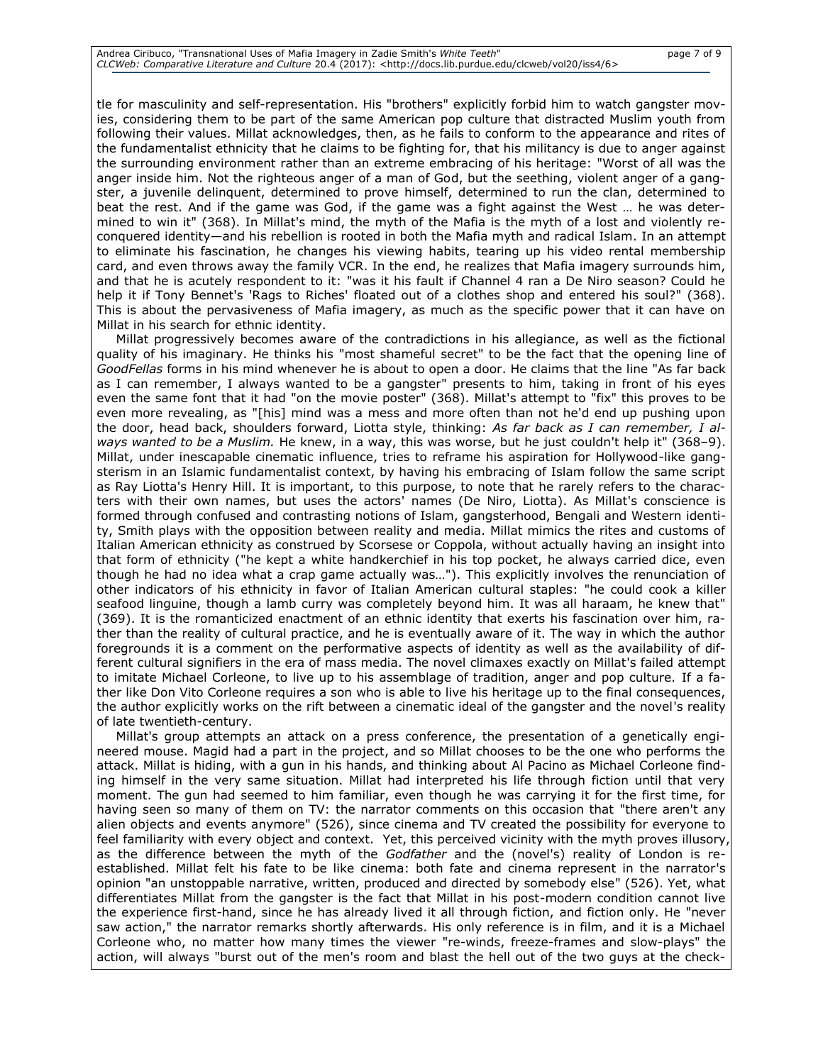tle for masculinity and self-representation. His "brothers" explicitly forbid him to watch gangster movies, considering them to be part of the same American pop culture that distracted Muslim youth from following their values. Millat acknowledges, then, as he fails to conform to the appearance and rites of the fundamentalist ethnicity that he claims to be fighting for, that his militancy is due to anger against the surrounding environment rather than an extreme embracing of his heritage: "Worst of all was the anger inside him. Not the righteous anger of a man of God, but the seething, violent anger of a gangster, a juvenile delinquent, determined to prove himself, determined to run the clan, determined to beat the rest. And if the game was God, if the game was a fight against the West … he was determined to win it" (368). In Millat's mind, the myth of the Mafia is the myth of a lost and violently reconquered identity—and his rebellion is rooted in both the Mafia myth and radical Islam. In an attempt to eliminate his fascination, he changes his viewing habits, tearing up his video rental membership card, and even throws away the family VCR. In the end, he realizes that Mafia imagery surrounds him, and that he is acutely respondent to it: "was it his fault if Channel 4 ran a De Niro season? Could he help it if Tony Bennet's 'Rags to Riches' floated out of a clothes shop and entered his soul?" (368). This is about the pervasiveness of Mafia imagery, as much as the specific power that it can have on Millat in his search for ethnic identity.

Millat progressively becomes aware of the contradictions in his allegiance, as well as the fictional quality of his imaginary. He thinks his "most shameful secret" to be the fact that the opening line of *GoodFellas* forms in his mind whenever he is about to open a door. He claims that the line "As far back as I can remember, I always wanted to be a gangster" presents to him, taking in front of his eyes even the same font that it had "on the movie poster" (368). Millat's attempt to "fix" this proves to be even more revealing, as "[his] mind was a mess and more often than not he'd end up pushing upon the door, head back, shoulders forward, Liotta style, thinking: *As far back as I can remember, I always wanted to be a Muslim.* He knew, in a way, this was worse, but he just couldn't help it" (368–9). Millat, under inescapable cinematic influence, tries to reframe his aspiration for Hollywood-like gangsterism in an Islamic fundamentalist context, by having his embracing of Islam follow the same script as Ray Liotta's Henry Hill. It is important, to this purpose, to note that he rarely refers to the characters with their own names, but uses the actors' names (De Niro, Liotta). As Millat's conscience is formed through confused and contrasting notions of Islam, gangsterhood, Bengali and Western identity, Smith plays with the opposition between reality and media. Millat mimics the rites and customs of Italian American ethnicity as construed by Scorsese or Coppola, without actually having an insight into that form of ethnicity ("he kept a white handkerchief in his top pocket, he always carried dice, even though he had no idea what a crap game actually was…"). This explicitly involves the renunciation of other indicators of his ethnicity in favor of Italian American cultural staples: "he could cook a killer seafood linguine, though a lamb curry was completely beyond him. It was all haraam, he knew that" (369). It is the romanticized enactment of an ethnic identity that exerts his fascination over him, rather than the reality of cultural practice, and he is eventually aware of it. The way in which the author foregrounds it is a comment on the performative aspects of identity as well as the availability of different cultural signifiers in the era of mass media. The novel climaxes exactly on Millat's failed attempt to imitate Michael Corleone, to live up to his assemblage of tradition, anger and pop culture. If a father like Don Vito Corleone requires a son who is able to live his heritage up to the final consequences, the author explicitly works on the rift between a cinematic ideal of the gangster and the novel's reality of late twentieth-century.

Millat's group attempts an attack on a press conference, the presentation of a genetically engineered mouse. Magid had a part in the project, and so Millat chooses to be the one who performs the attack. Millat is hiding, with a gun in his hands, and thinking about Al Pacino as Michael Corleone finding himself in the very same situation. Millat had interpreted his life through fiction until that very moment. The gun had seemed to him familiar, even though he was carrying it for the first time, for having seen so many of them on TV: the narrator comments on this occasion that "there aren't any alien objects and events anymore" (526), since cinema and TV created the possibility for everyone to feel familiarity with every object and context. Yet, this perceived vicinity with the myth proves illusory, as the difference between the myth of the *Godfather* and the (novel's) reality of London is reestablished. Millat felt his fate to be like cinema: both fate and cinema represent in the narrator's opinion "an unstoppable narrative, written, produced and directed by somebody else" (526). Yet, what differentiates Millat from the gangster is the fact that Millat in his post-modern condition cannot live the experience first-hand, since he has already lived it all through fiction, and fiction only. He "never saw action," the narrator remarks shortly afterwards. His only reference is in film, and it is a Michael Corleone who, no matter how many times the viewer "re-winds, freeze-frames and slow-plays" the action, will always "burst out of the men's room and blast the hell out of the two guys at the check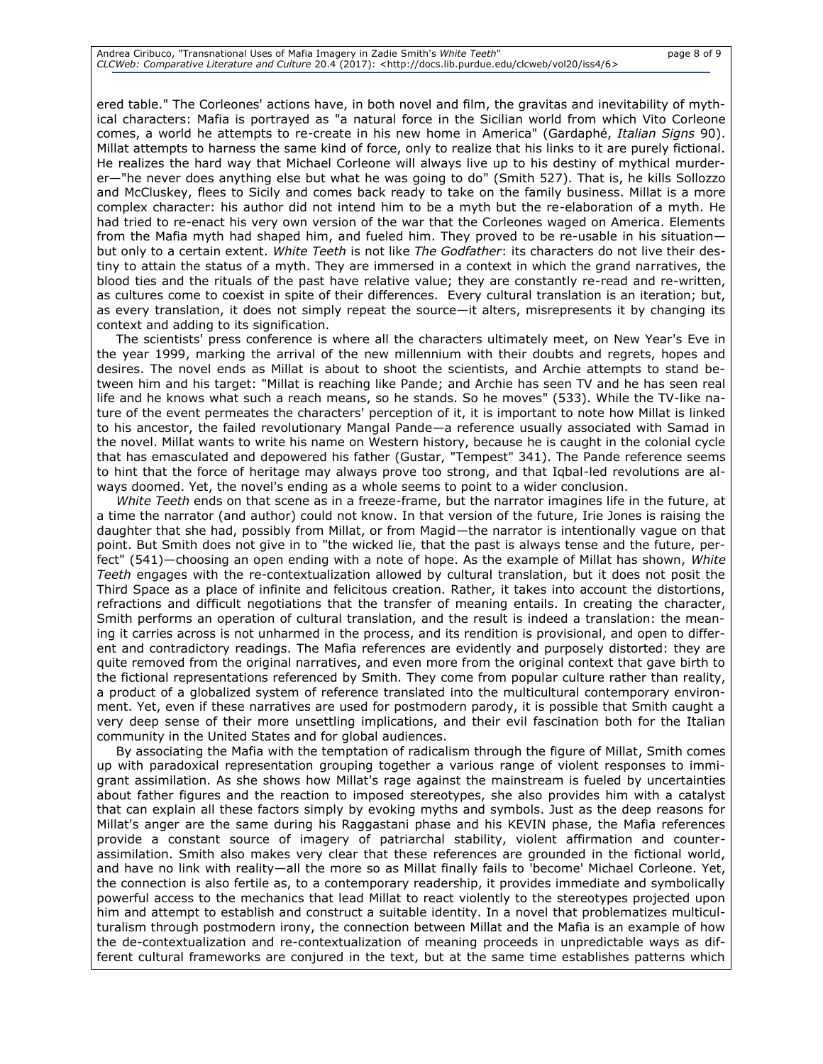ered table." The Corleones' actions have, in both novel and film, the gravitas and inevitability of mythical characters: Mafia is portrayed as "a natural force in the Sicilian world from which Vito Corleone comes, a world he attempts to re-create in his new home in America" (Gardaphé, *Italian Signs* 90). Millat attempts to harness the same kind of force, only to realize that his links to it are purely fictional. He realizes the hard way that Michael Corleone will always live up to his destiny of mythical murderer—"he never does anything else but what he was going to do" (Smith 527). That is, he kills Sollozzo and McCluskey, flees to Sicily and comes back ready to take on the family business. Millat is a more complex character: his author did not intend him to be a myth but the re-elaboration of a myth. He had tried to re-enact his very own version of the war that the Corleones waged on America. Elements from the Mafia myth had shaped him, and fueled him. They proved to be re-usable in his situation but only to a certain extent. *White Teeth* is not like *The Godfather*: its characters do not live their destiny to attain the status of a myth. They are immersed in a context in which the grand narratives, the blood ties and the rituals of the past have relative value; they are constantly re-read and re-written, as cultures come to coexist in spite of their differences. Every cultural translation is an iteration; but, as every translation, it does not simply repeat the source—it alters, misrepresents it by changing its context and adding to its signification.

The scientists' press conference is where all the characters ultimately meet, on New Year's Eve in the year 1999, marking the arrival of the new millennium with their doubts and regrets, hopes and desires. The novel ends as Millat is about to shoot the scientists, and Archie attempts to stand between him and his target: "Millat is reaching like Pande; and Archie has seen TV and he has seen real life and he knows what such a reach means, so he stands. So he moves" (533). While the TV-like nature of the event permeates the characters' perception of it, it is important to note how Millat is linked to his ancestor, the failed revolutionary Mangal Pande—a reference usually associated with Samad in the novel. Millat wants to write his name on Western history, because he is caught in the colonial cycle that has emasculated and depowered his father (Gustar, "Tempest" 341). The Pande reference seems to hint that the force of heritage may always prove too strong, and that Iqbal-led revolutions are always doomed. Yet, the novel's ending as a whole seems to point to a wider conclusion.

*White Teeth* ends on that scene as in a freeze-frame, but the narrator imagines life in the future, at a time the narrator (and author) could not know. In that version of the future, Irie Jones is raising the daughter that she had, possibly from Millat, or from Magid—the narrator is intentionally vague on that point. But Smith does not give in to "the wicked lie, that the past is always tense and the future, perfect" (541)—choosing an open ending with a note of hope. As the example of Millat has shown, *White Teeth* engages with the re-contextualization allowed by cultural translation, but it does not posit the Third Space as a place of infinite and felicitous creation. Rather, it takes into account the distortions, refractions and difficult negotiations that the transfer of meaning entails. In creating the character, Smith performs an operation of cultural translation, and the result is indeed a translation: the meaning it carries across is not unharmed in the process, and its rendition is provisional, and open to different and contradictory readings. The Mafia references are evidently and purposely distorted: they are quite removed from the original narratives, and even more from the original context that gave birth to the fictional representations referenced by Smith. They come from popular culture rather than reality, a product of a globalized system of reference translated into the multicultural contemporary environment. Yet, even if these narratives are used for postmodern parody, it is possible that Smith caught a very deep sense of their more unsettling implications, and their evil fascination both for the Italian community in the United States and for global audiences.

By associating the Mafia with the temptation of radicalism through the figure of Millat, Smith comes up with paradoxical representation grouping together a various range of violent responses to immigrant assimilation. As she shows how Millat's rage against the mainstream is fueled by uncertainties about father figures and the reaction to imposed stereotypes, she also provides him with a catalyst that can explain all these factors simply by evoking myths and symbols. Just as the deep reasons for Millat's anger are the same during his Raggastani phase and his KEVIN phase, the Mafia references provide a constant source of imagery of patriarchal stability, violent affirmation and counterassimilation. Smith also makes very clear that these references are grounded in the fictional world, and have no link with reality—all the more so as Millat finally fails to 'become' Michael Corleone. Yet, the connection is also fertile as, to a contemporary readership, it provides immediate and symbolically powerful access to the mechanics that lead Millat to react violently to the stereotypes projected upon him and attempt to establish and construct a suitable identity. In a novel that problematizes multiculturalism through postmodern irony, the connection between Millat and the Mafia is an example of how the de-contextualization and re-contextualization of meaning proceeds in unpredictable ways as different cultural frameworks are conjured in the text, but at the same time establishes patterns which